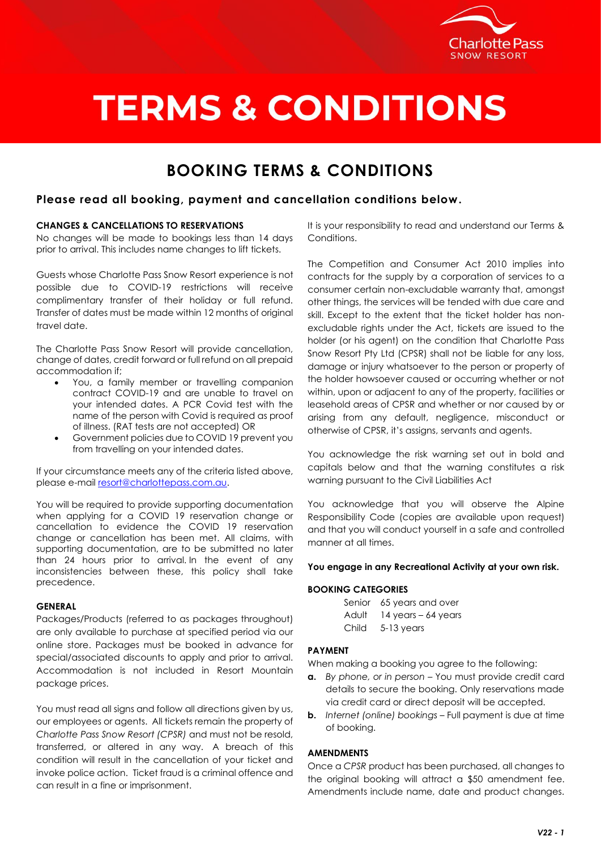

## **TERMS & CONDITIONS**

### **BOOKING TERMS & CONDITIONS**

#### **Please read all booking, payment and cancellation conditions below.**

#### **CHANGES & CANCELLATIONS TO RESERVATIONS**

No changes will be made to bookings less than 14 days prior to arrival. This includes name changes to lift tickets.

Guests whose Charlotte Pass Snow Resort experience is not possible due to COVID-19 restrictions will receive complimentary transfer of their holiday or full refund. Transfer of dates must be made within 12 months of original travel date.

The Charlotte Pass Snow Resort will provide cancellation, change of dates, credit forward or full refund on all prepaid accommodation if;

- You, a family member or travelling companion contract COVID-19 and are unable to travel on your intended dates. A PCR Covid test with the name of the person with Covid is required as proof of illness. (RAT tests are not accepted) OR
- Government policies due to COVID 19 prevent you from travelling on your intended dates.

If your circumstance meets any of the criteria listed above, please e-mail [resort@charlottepass.com.au.](mailto:resort@charlottepass.com.au)

You will be required to provide supporting documentation when applying for a COVID 19 reservation change or cancellation to evidence the COVID 19 reservation change or cancellation has been met. All claims, with supporting documentation, are to be submitted no later than 24 hours prior to arrival. In the event of any inconsistencies between these, this policy shall take precedence.

#### **GENERAL**

Packages/Products (referred to as packages throughout) are only available to purchase at specified period via our online store. Packages must be booked in advance for special/associated discounts to apply and prior to arrival. Accommodation is not included in Resort Mountain package prices.

You must read all signs and follow all directions given by us, our employees or agents. All tickets remain the property of *Charlotte Pass Snow Resort (CPSR)* and must not be resold, transferred, or altered in any way. A breach of this condition will result in the cancellation of your ticket and invoke police action. Ticket fraud is a criminal offence and can result in a fine or imprisonment.

It is your responsibility to read and understand our Terms & Conditions.

The Competition and Consumer Act 2010 implies into contracts for the supply by a corporation of services to a consumer certain non-excludable warranty that, amongst other things, the services will be tended with due care and skill. Except to the extent that the ticket holder has nonexcludable rights under the Act, tickets are issued to the holder (or his agent) on the condition that Charlotte Pass Snow Resort Pty Ltd (CPSR) shall not be liable for any loss, damage or injury whatsoever to the person or property of the holder howsoever caused or occurring whether or not within, upon or adjacent to any of the property, facilities or leasehold areas of CPSR and whether or nor caused by or arising from any default, negligence, misconduct or otherwise of CPSR, it's assigns, servants and agents.

You acknowledge the risk warning set out in bold and capitals below and that the warning constitutes a risk warning pursuant to the Civil Liabilities Act

You acknowledge that you will observe the Alpine Responsibility Code (copies are available upon request) and that you will conduct yourself in a safe and controlled manner at all times.

#### **You engage in any Recreational Activity at your own risk.**

#### **BOOKING CATEGORIES**

|       | Senior 65 years and over  |
|-------|---------------------------|
|       | Adult 14 years - 64 years |
| Child | 5-13 years                |

#### **PAYMENT**

When making a booking you agree to the following:

- **a.** *By phone, or in person* You must provide credit card details to secure the booking. Only reservations made via credit card or direct deposit will be accepted.
- **b.** *Internet (online) bookings* Full payment is due at time of booking.

#### **AMENDMENTS**

Once a *CPSR* product has been purchased, all changes to the original booking will attract a \$50 amendment fee. Amendments include name, date and product changes.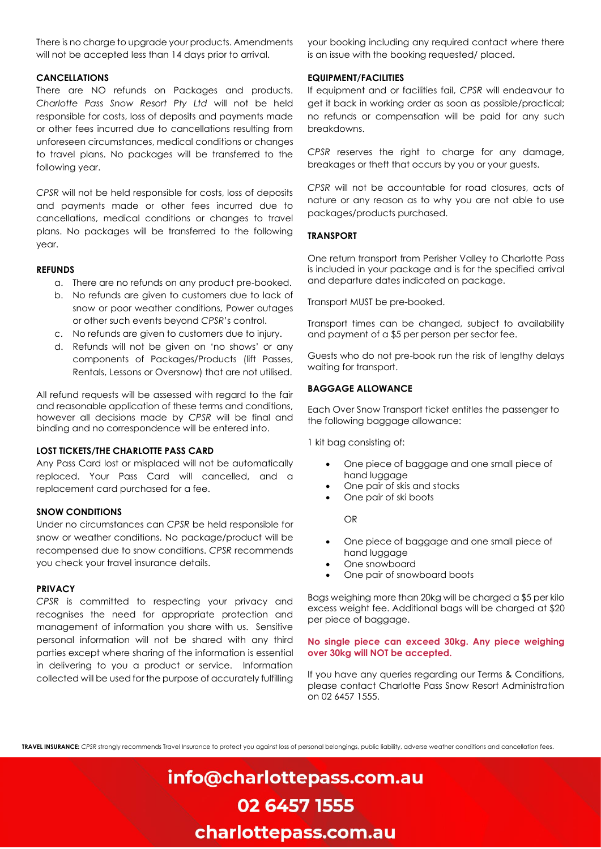There is no charge to upgrade your products. Amendments will not be accepted less than 14 days prior to arrival.

#### **CANCELLATIONS**

There are NO refunds on Packages and products. *Charlotte Pass Snow Resort Pty Ltd* will not be held responsible for costs, loss of deposits and payments made or other fees incurred due to cancellations resulting from unforeseen circumstances, medical conditions or changes to travel plans. No packages will be transferred to the following year.

*CPSR* will not be held responsible for costs, loss of deposits and payments made or other fees incurred due to cancellations, medical conditions or changes to travel plans. No packages will be transferred to the following year.

#### **REFUNDS**

- a. There are no refunds on any product pre-booked.
- b. No refunds are given to customers due to lack of snow or poor weather conditions, Power outages or other such events beyond *CPSR*'s control.
- c. No refunds are given to customers due to injury.
- d. Refunds will not be given on 'no shows' or any components of Packages/Products (lift Passes, Rentals, Lessons or Oversnow) that are not utilised.

All refund requests will be assessed with regard to the fair and reasonable application of these terms and conditions, however all decisions made by *CPSR* will be final and binding and no correspondence will be entered into.

#### **LOST TICKETS/THE CHARLOTTE PASS CARD**

Any Pass Card lost or misplaced will not be automatically replaced. Your Pass Card will cancelled, and a replacement card purchased for a fee.

#### **SNOW CONDITIONS**

Under no circumstances can *CPSR* be held responsible for snow or weather conditions. No package/product will be recompensed due to snow conditions. *CPSR* recommends you check your travel insurance details.

#### **PRIVACY**

*CPSR* is committed to respecting your privacy and recognises the need for appropriate protection and management of information you share with us. Sensitive personal information will not be shared with any third parties except where sharing of the information is essential in delivering to you a product or service. Information collected will be used for the purpose of accurately fulfilling

your booking including any required contact where there is an issue with the booking requested/ placed.

#### **EQUIPMENT/FACILITIES**

If equipment and or facilities fail, *CPSR* will endeavour to get it back in working order as soon as possible/practical; no refunds or compensation will be paid for any such breakdowns.

*CPSR* reserves the right to charge for any damage, breakages or theft that occurs by you or your guests.

*CPSR* will not be accountable for road closures, acts of nature or any reason as to why you are not able to use packages/products purchased.

#### **TRANSPORT**

One return transport from Perisher Valley to Charlotte Pass is included in your package and is for the specified arrival and departure dates indicated on package.

Transport MUST be pre-booked.

Transport times can be changed, subject to availability and payment of a \$5 per person per sector fee.

Guests who do not pre-book run the risk of lengthy delays waiting for transport.

#### **BAGGAGE ALLOWANCE**

Each Over Snow Transport ticket entitles the passenger to the following baggage allowance:

1 kit bag consisting of:

- One piece of baggage and one small piece of hand luggage
- One pair of skis and stocks
- One pair of ski boots

OR

- One piece of baggage and one small piece of hand luggage
- One snowboard
- One pair of snowboard boots

Bags weighing more than 20kg will be charged a \$5 per kilo excess weight fee. Additional bags will be charged at \$20 per piece of baggage.

#### **No single piece can exceed 30kg. Any piece weighing over 30kg will NOT be accepted.**

If you have any queries regarding our Terms & Conditions, please contact Charlotte Pass Snow Resort Administration on 02 6457 1555.

**TRAVEL INSURANCE:** *CPSR* strongly recommends Travel Insurance to protect you against loss of personal belongings, public liability, adverse weather conditions and cancellation fees.

## info@charlottepass.com.au 02 6457 1555 charlottepass.com.au